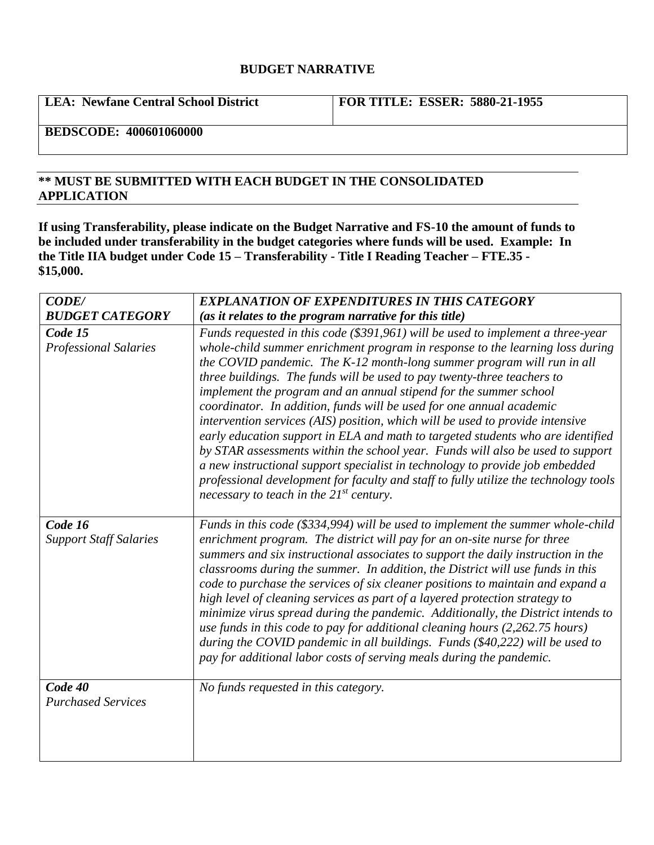## **BUDGET NARRATIVE**

**LEA: Newfane Central School District FOR TITLE: ESSER: 5880-21-1955**

**BEDSCODE: 400601060000**

## **\*\* MUST BE SUBMITTED WITH EACH BUDGET IN THE CONSOLIDATED APPLICATION**

**If using Transferability, please indicate on the Budget Narrative and FS-10 the amount of funds to be included under transferability in the budget categories where funds will be used. Example: In the Title IIA budget under Code 15 – Transferability - Title I Reading Teacher – FTE.35 - \$15,000.**

| <b>CODE/</b>                             | <b>EXPLANATION OF EXPENDITURES IN THIS CATEGORY</b>                                                                                                                                                                                                                                                                                                                                                                                                                                                                                                                                                                                                                                                                                                                                                                                                                                                                                              |
|------------------------------------------|--------------------------------------------------------------------------------------------------------------------------------------------------------------------------------------------------------------------------------------------------------------------------------------------------------------------------------------------------------------------------------------------------------------------------------------------------------------------------------------------------------------------------------------------------------------------------------------------------------------------------------------------------------------------------------------------------------------------------------------------------------------------------------------------------------------------------------------------------------------------------------------------------------------------------------------------------|
| <b>BUDGET CATEGORY</b>                   | (as it relates to the program narrative for this title)                                                                                                                                                                                                                                                                                                                                                                                                                                                                                                                                                                                                                                                                                                                                                                                                                                                                                          |
| Code 15<br><b>Professional Salaries</b>  | Funds requested in this code (\$391,961) will be used to implement a three-year<br>whole-child summer enrichment program in response to the learning loss during<br>the COVID pandemic. The K-12 month-long summer program will run in all<br>three buildings. The funds will be used to pay twenty-three teachers to<br>implement the program and an annual stipend for the summer school<br>coordinator. In addition, funds will be used for one annual academic<br>intervention services (AIS) position, which will be used to provide intensive<br>early education support in ELA and math to targeted students who are identified<br>by STAR assessments within the school year. Funds will also be used to support<br>a new instructional support specialist in technology to provide job embedded<br>professional development for faculty and staff to fully utilize the technology tools<br>necessary to teach in the $21^{st}$ century. |
| Code 16<br><b>Support Staff Salaries</b> | Funds in this code (\$334,994) will be used to implement the summer whole-child<br>enrichment program. The district will pay for an on-site nurse for three<br>summers and six instructional associates to support the daily instruction in the<br>classrooms during the summer. In addition, the District will use funds in this<br>code to purchase the services of six cleaner positions to maintain and expand a<br>high level of cleaning services as part of a layered protection strategy to<br>minimize virus spread during the pandemic. Additionally, the District intends to<br>use funds in this code to pay for additional cleaning hours $(2,262.75$ hours)<br>during the COVID pandemic in all buildings. Funds (\$40,222) will be used to<br>pay for additional labor costs of serving meals during the pandemic.                                                                                                                |
| Code 40<br><b>Purchased Services</b>     | No funds requested in this category.                                                                                                                                                                                                                                                                                                                                                                                                                                                                                                                                                                                                                                                                                                                                                                                                                                                                                                             |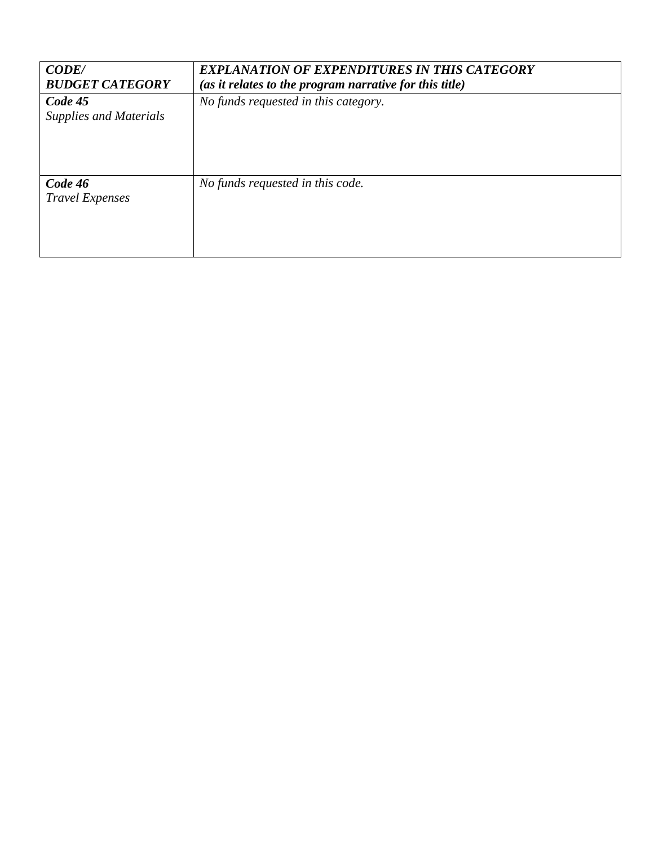| <b>CODE/</b><br><b>BUDGET CATEGORY</b>   | <b>EXPLANATION OF EXPENDITURES IN THIS CATEGORY</b><br>(as it relates to the program narrative for this title) |
|------------------------------------------|----------------------------------------------------------------------------------------------------------------|
| Code 45<br><b>Supplies and Materials</b> | No funds requested in this category.                                                                           |
| Code 46<br><b>Travel Expenses</b>        | No funds requested in this code.                                                                               |